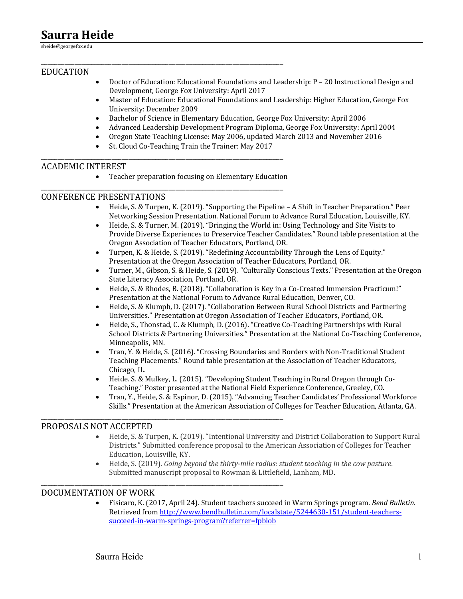# **Saurra Heide**

sheide@georgefox.edu

## EDUCATION

- Doctor of Education: Educational Foundations and Leadership:  $P 20$  Instructional Design and Development, George Fox University: April 2017
- Master of Education: Educational Foundations and Leadership: Higher Education, George Fox University: December 2009
- Bachelor of Science in Elementary Education, George Fox University: April 2006
- Advanced Leadership Development Program Diploma, George Fox University: April 2004
- Oregon State Teaching License: May 2006, updated March 2013 and November 2016
- St. Cloud Co-Teaching Train the Trainer: May 2017

\_\_\_\_\_\_\_\_\_\_\_\_\_\_\_\_\_\_\_\_\_\_\_\_\_\_\_\_\_\_\_\_\_\_\_\_\_\_\_\_\_\_\_\_\_\_\_\_\_\_\_\_\_\_\_\_\_\_\_\_\_\_\_\_\_\_\_\_\_\_\_\_

\_\_\_\_\_\_\_\_\_\_\_\_\_\_\_\_\_\_\_\_\_\_\_\_\_\_\_\_\_\_\_\_\_\_\_\_\_\_\_\_\_\_\_\_\_\_\_\_\_\_\_\_\_\_\_\_\_\_\_\_\_\_\_\_\_\_\_\_\_\_\_\_

\_\_\_\_\_\_\_\_\_\_\_\_\_\_\_\_\_\_\_\_\_\_\_\_\_\_\_\_\_\_\_\_\_\_\_\_\_\_\_\_\_\_\_\_\_\_\_\_\_\_\_\_\_\_\_\_\_\_\_\_\_\_\_\_\_\_\_\_\_\_\_\_

\_\_\_\_\_\_\_\_\_\_\_\_\_\_\_\_\_\_\_\_\_\_\_\_\_\_\_\_\_\_\_\_\_\_\_\_\_\_\_\_\_\_\_\_\_\_\_\_\_\_\_\_\_\_\_\_\_\_\_\_\_\_\_\_\_\_\_\_\_\_\_\_

\_\_\_\_\_\_\_\_\_\_\_\_\_\_\_\_\_\_\_\_\_\_\_\_\_\_\_\_\_\_\_\_\_\_\_\_\_\_\_\_\_\_\_\_\_\_\_\_\_\_\_\_\_\_\_\_\_\_\_\_\_\_\_\_\_\_\_\_\_\_\_\_

#### **ACADEMIC INTEREST**

• Teacher preparation focusing on Elementary Education

#### CONFERENCE PRESENTATIONS

- Heide, S. & Turpen, K. (2019). "Supporting the Pipeline A Shift in Teacher Preparation." Peer Networking Session Presentation. National Forum to Advance Rural Education, Louisville, KY.
- Heide, S. & Turner, M. (2019). "Bringing the World in: Using Technology and Site Visits to Provide Diverse Experiences to Preservice Teacher Candidates." Round table presentation at the Oregon Association of Teacher Educators, Portland, OR.
- Turpen, K. & Heide, S. (2019). "Redefining Accountability Through the Lens of Equity." Presentation at the Oregon Association of Teacher Educators, Portland, OR.
- Turner, M., Gibson, S. & Heide, S. (2019). "Culturally Conscious Texts." Presentation at the Oregon State Literacy Association, Portland, OR.
- Heide, S. & Rhodes, B. (2018). "Collaboration is Key in a Co-Created Immersion Practicum!" Presentation at the National Forum to Advance Rural Education, Denver, CO.
- Heide, S. & Klumph, D. (2017). "Collaboration Between Rural School Districts and Partnering Universities." Presentation at Oregon Association of Teacher Educators, Portland, OR.
- Heide, S., Thonstad, C. & Klumph, D. (2016). "Creative Co-Teaching Partnerships with Rural School Districts & Partnering Universities." Presentation at the National Co-Teaching Conference, Minneapolis, MN.
- Tran, Y. & Heide, S. (2016). "Crossing Boundaries and Borders with Non-Traditional Student Teaching Placements." Round table presentation at the Association of Teacher Educators, Chicago, IL.
- Heide. S. & Mulkey, L. (2015). "Developing Student Teaching in Rural Oregon through Co-Teaching." Poster presented at the National Field Experience Conference, Greeley, CO.
- Tran, Y., Heide, S. & Espinor, D. (2015). "Advancing Teacher Candidates' Professional Workforce Skills." Presentation at the American Association of Colleges for Teacher Education, Atlanta, GA.

#### PROPOSALS NOT ACCEPTED

- Heide, S. & Turpen, K. (2019). "Intentional University and District Collaboration to Support Rural Districts." Submitted conference proposal to the American Association of Colleges for Teacher Education, Louisville, KY.
- Heide, S. (2019). *Going beyond the thirty-mile radius: student teaching in the cow pasture.* Submitted manuscript proposal to Rowman & Littlefield, Lanham, MD.

## DOCUMENTATION OF WORK

Fisicaro, K. (2017, April 24). Student teachers succeed in Warm Springs program. *Bend Bulletin*. Retrieved from http://www.bendbulletin.com/localstate/5244630-151/student-teacherssucceed-in-warm-springs-program?referrer=fpblob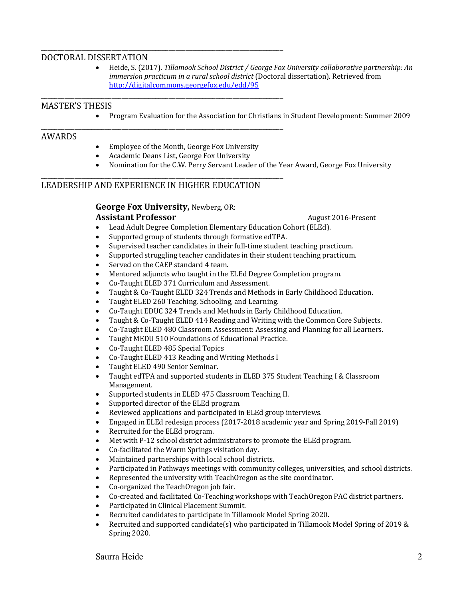#### DOCTORAL DISSERTATION

• Heide, S. (2017). *Tillamook School District / George Fox University collaborative partnership: An immersion practicum in a rural school district* (Doctoral dissertation). Retrieved from http://digitalcommons.georgefox.edu/edd/95

#### MASTER'S THESIS

• Program Evaluation for the Association for Christians in Student Development: Summer 2009

#### AWARDS

- Employee of the Month, George Fox University
- Academic Deans List, George Fox University

\_\_\_\_\_\_\_\_\_\_\_\_\_\_\_\_\_\_\_\_\_\_\_\_\_\_\_\_\_\_\_\_\_\_\_\_\_\_\_\_\_\_\_\_\_\_\_\_\_\_\_\_\_\_\_\_\_\_\_\_\_\_\_\_\_\_\_\_\_\_\_\_

\_\_\_\_\_\_\_\_\_\_\_\_\_\_\_\_\_\_\_\_\_\_\_\_\_\_\_\_\_\_\_\_\_\_\_\_\_\_\_\_\_\_\_\_\_\_\_\_\_\_\_\_\_\_\_\_\_\_\_\_\_\_\_\_\_\_\_\_\_\_\_\_

\_\_\_\_\_\_\_\_\_\_\_\_\_\_\_\_\_\_\_\_\_\_\_\_\_\_\_\_\_\_\_\_\_\_\_\_\_\_\_\_\_\_\_\_\_\_\_\_\_\_\_\_\_\_\_\_\_\_\_\_\_\_\_\_\_\_\_\_\_\_\_\_

\_\_\_\_\_\_\_\_\_\_\_\_\_\_\_\_\_\_\_\_\_\_\_\_\_\_\_\_\_\_\_\_\_\_\_\_\_\_\_\_\_\_\_\_\_\_\_\_\_\_\_\_\_\_\_\_\_\_\_\_\_\_\_\_\_\_\_\_\_\_\_\_

• Nomination for the C.W. Perry Servant Leader of the Year Award, George Fox University

## LEADERSHIP AND EXPERIENCE IN HIGHER EDUCATION

# **George Fox University, Newberg, OR:**

# **Assistant Professor** *Assistant Professor August 2016-Present*

- Lead Adult Degree Completion Elementary Education Cohort (ELEd).
- Supported group of students through formative edTPA.
- Supervised teacher candidates in their full-time student teaching practicum.
- Supported struggling teacher candidates in their student teaching practicum.
- Served on the CAEP standard 4 team.
- Mentored adjuncts who taught in the ELEd Degree Completion program.
- Co-Taught ELED 371 Curriculum and Assessment.
- Taught & Co-Taught ELED 324 Trends and Methods in Early Childhood Education.
- Taught ELED 260 Teaching, Schooling, and Learning.
- Co-Taught EDUC 324 Trends and Methods in Early Childhood Education.
- Taught & Co-Taught ELED 414 Reading and Writing with the Common Core Subjects.
- Co-Taught ELED 480 Classroom Assessment: Assessing and Planning for all Learners.
- Taught MEDU 510 Foundations of Educational Practice.
- Co-Taught ELED 485 Special Topics
- Co-Taught ELED 413 Reading and Writing Methods I
- Taught ELED 490 Senior Seminar.
- Taught edTPA and supported students in ELED 375 Student Teaching I & Classroom Management.
- Supported students in ELED 475 Classroom Teaching II.
- Supported director of the ELEd program.
- Reviewed applications and participated in ELEd group interviews.
- Engaged in ELEd redesign process (2017-2018 academic year and Spring 2019-Fall 2019)
- Recruited for the ELEd program.
- Met with P-12 school district administrators to promote the ELEd program.
- Co-facilitated the Warm Springs visitation day.
- Maintained partnerships with local school districts.
- Participated in Pathways meetings with community colleges, universities, and school districts.
- Represented the university with TeachOregon as the site coordinator.
- Co-organized the TeachOregon job fair.
- Co-created and facilitated Co-Teaching workshops with TeachOregon PAC district partners.
- Participated in Clinical Placement Summit.
- Recruited candidates to participate in Tillamook Model Spring 2020.
- Recruited and supported candidate(s) who participated in Tillamook Model Spring of 2019 & Spring 2020.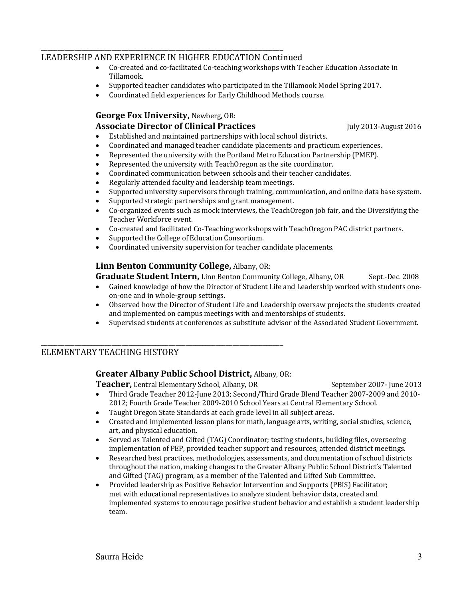## LEADERSHIP AND EXPERIENCE IN HIGHER EDUCATION Continued

\_\_\_\_\_\_\_\_\_\_\_\_\_\_\_\_\_\_\_\_\_\_\_\_\_\_\_\_\_\_\_\_\_\_\_\_\_\_\_\_\_\_\_\_\_\_\_\_\_\_\_\_\_\_\_\_\_\_\_\_\_\_\_\_\_\_\_\_\_\_\_\_

- Co-created and co-facilitated Co-teaching workshops with Teacher Education Associate in Tillamook.
- Supported teacher candidates who participated in the Tillamook Model Spring 2017.
- Coordinated field experiences for Early Childhood Methods course.

# **George Fox University, Newberg, OR:**

# **Associate Director of Clinical Practices 1998** *July 2013-August 2016*

• Established and maintained partnerships with local school districts.

- Coordinated and managed teacher candidate placements and practicum experiences.
- Represented the university with the Portland Metro Education Partnership (PMEP).
- Represented the university with TeachOregon as the site coordinator.
- Coordinated communication between schools and their teacher candidates.
- Regularly attended faculty and leadership team meetings.
- Supported university supervisors through training, communication, and online data base system.
- Supported strategic partnerships and grant management.
- Co-organized events such as mock interviews, the TeachOregon job fair, and the Diversifying the Teacher Workforce event.
- Co-created and facilitated Co-Teaching workshops with TeachOregon PAC district partners.
- Supported the College of Education Consortium.
- Coordinated university supervision for teacher candidate placements.

## **Linn Benton Community College, Albany, OR:**

**Graduate Student Intern,** Linn Benton Community College, Albany, OR Sept.-Dec. 2008

- Gained knowledge of how the Director of Student Life and Leadership worked with students oneon-one and in whole-group settings.
- Observed how the Director of Student Life and Leadership oversaw projects the students created and implemented on campus meetings with and mentorships of students.
- Supervised students at conferences as substitute advisor of the Associated Student Government.

# ELEMENTARY TEACHING HISTORY

## **Greater Albany Public School District, Albany, OR:**

**Teacher,** Central Elementary School, Albany, OR September 2007- June 2013

\_\_\_\_\_\_\_\_\_\_\_\_\_\_\_\_\_\_\_\_\_\_\_\_\_\_\_\_\_\_\_\_\_\_\_\_\_\_\_\_\_\_\_\_\_\_\_\_\_\_\_\_\_\_\_\_\_\_\_\_\_\_\_\_\_\_\_\_\_\_\_\_

- Third Grade Teacher 2012-June 2013; Second/Third Grade Blend Teacher 2007-2009 and 2010-2012; Fourth Grade Teacher 2009-2010 School Years at Central Elementary School.
- Taught Oregon State Standards at each grade level in all subject areas.
- Created and implemented lesson plans for math, language arts, writing, social studies, science, art, and physical education.
- Served as Talented and Gifted (TAG) Coordinator; testing students, building files, overseeing implementation of PEP, provided teacher support and resources, attended district meetings.
- Researched best practices, methodologies, assessments, and documentation of school districts throughout the nation, making changes to the Greater Albany Public School District's Talented and Gifted (TAG) program, as a member of the Talented and Gifted Sub Committee.
- Provided leadership as Positive Behavior Intervention and Supports (PBIS) Facilitator; met with educational representatives to analyze student behavior data, created and implemented systems to encourage positive student behavior and establish a student leadership team.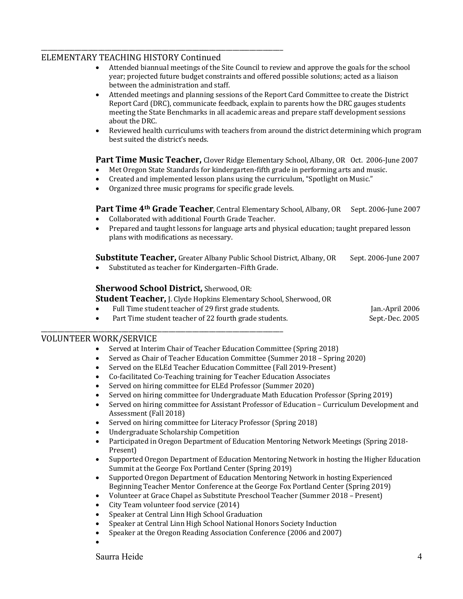## ELEMENTARY TEACHING HISTORY Continued

\_\_\_\_\_\_\_\_\_\_\_\_\_\_\_\_\_\_\_\_\_\_\_\_\_\_\_\_\_\_\_\_\_\_\_\_\_\_\_\_\_\_\_\_\_\_\_\_\_\_\_\_\_\_\_\_\_\_\_\_\_\_\_\_\_\_\_\_\_\_\_\_

- Attended biannual meetings of the Site Council to review and approve the goals for the school year; projected future budget constraints and offered possible solutions; acted as a liaison between the administration and staff.
- Attended meetings and planning sessions of the Report Card Committee to create the District Report Card (DRC), communicate feedback, explain to parents how the DRC gauges students meeting the State Benchmarks in all academic areas and prepare staff development sessions about the DRC.
- Reviewed health curriculums with teachers from around the district determining which program best suited the district's needs.

#### **Part Time Music Teacher,** Clover Ridge Elementary School, Albany, OR Oct. 2006-June 2007

- Met Oregon State Standards for kindergarten-fifth grade in performing arts and music.
- Created and implemented lesson plans using the curriculum, "Spotlight on Music."
- Organized three music programs for specific grade levels.

## **Part Time 4<sup>th</sup> Grade Teacher**, Central Elementary School, Albany, OR Sept. 2006-June 2007

- Collaborated with additional Fourth Grade Teacher.
- Prepared and taught lessons for language arts and physical education; taught prepared lesson plans with modifications as necessary.

**Substitute Teacher,** Greater Albany Public School District, Albany, OR Sept. 2006-June 2007

• Substituted as teacher for Kindergarten–Fifth Grade.

#### **Sherwood School District, Sherwood, OR:**

\_\_\_\_\_\_\_\_\_\_\_\_\_\_\_\_\_\_\_\_\_\_\_\_\_\_\_\_\_\_\_\_\_\_\_\_\_\_\_\_\_\_\_\_\_\_\_\_\_\_\_\_\_\_\_\_\_\_\_\_\_\_\_\_\_\_\_\_\_\_\_\_

**Student Teacher, J. Clyde Hopkins Elementary School, Sherwood, OR** 

• Full Time student teacher of 29 first grade students. Jan.-April 2006

Part Time student teacher of 22 fourth grade students. Sept.-Dec. 2005

## VOLUNTEER WORK/SERVICE

- Served at Interim Chair of Teacher Education Committee (Spring 2018)
- Served as Chair of Teacher Education Committee (Summer 2018 Spring 2020)
- Served on the ELEd Teacher Education Committee (Fall 2019-Present)
- Co-facilitated Co-Teaching training for Teacher Education Associates
- Served on hiring committee for ELEd Professor (Summer 2020)
- Served on hiring committee for Undergraduate Math Education Professor (Spring 2019)
- Served on hiring committee for Assistant Professor of Education Curriculum Development and Assessment (Fall 2018)
- Served on hiring committee for Literacy Professor (Spring 2018)
- Undergraduate Scholarship Competition
- Participated in Oregon Department of Education Mentoring Network Meetings (Spring 2018-Present)
- Supported Oregon Department of Education Mentoring Network in hosting the Higher Education Summit at the George Fox Portland Center (Spring 2019)
- Supported Oregon Department of Education Mentoring Network in hosting Experienced Beginning Teacher Mentor Conference at the George Fox Portland Center (Spring 2019)
- Volunteer at Grace Chapel as Substitute Preschool Teacher (Summer 2018 Present)
- City Team volunteer food service (2014)
- Speaker at Central Linn High School Graduation
- Speaker at Central Linn High School National Honors Society Induction
- Speaker at the Oregon Reading Association Conference (2006 and 2007)
- •